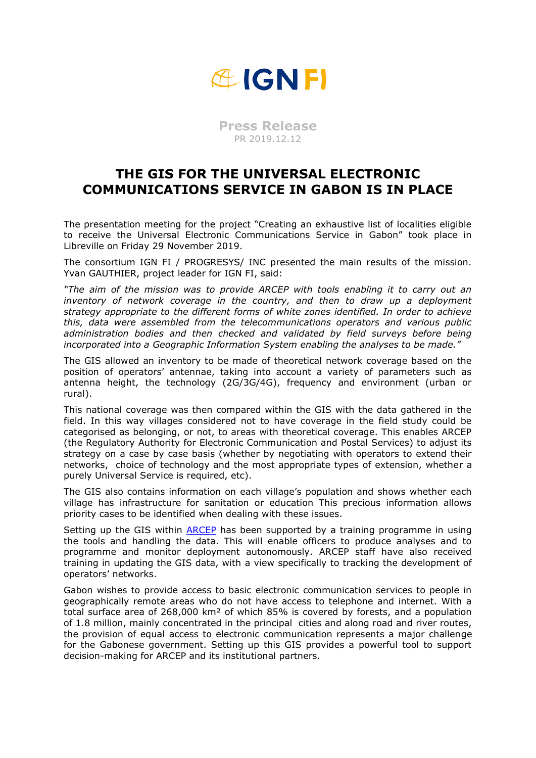

**Press Release** PR 2019.12.12

## **THE GIS FOR THE UNIVERSAL ELECTRONIC COMMUNICATIONS SERVICE IN GABON IS IN PLACE**

The presentation meeting for the project "Creating an exhaustive list of localities eligible to receive the Universal Electronic Communications Service in Gabon" took place in Libreville on Friday 29 November 2019.

The consortium IGN FI / PROGRESYS/ INC presented the main results of the mission. Yvan GAUTHIER, project leader for IGN FI, said:

*"The aim of the mission was to provide ARCEP with tools enabling it to carry out an inventory of network coverage in the country, and then to draw up a deployment strategy appropriate to the different forms of white zones identified. In order to achieve this, data were assembled from the telecommunications operators and various public administration bodies and then checked and validated by field surveys before being incorporated into a Geographic Information System enabling the analyses to be made."*

The GIS allowed an inventory to be made of theoretical network coverage based on the position of operators' antennae, taking into account a variety of parameters such as antenna height, the technology (2G/3G/4G), frequency and environment (urban or rural).

This national coverage was then compared within the GIS with the data gathered in the field. In this way villages considered not to have coverage in the field study could be categorised as belonging, or not, to areas with theoretical coverage. This enables ARCEP (the Regulatory Authority for Electronic Communication and Postal Services) to adjust its strategy on a case by case basis (whether by negotiating with operators to extend their networks, choice of technology and the most appropriate types of extension, whether a purely Universal Service is required, etc).

The GIS also contains information on each village's population and shows whether each village has infrastructure for sanitation or education This precious information allows priority cases to be identified when dealing with these issues.

Setting up the GIS within [ARCEP](https://www.arcep.ga/) has been supported by a training programme in using the tools and handling the data. This will enable officers to produce analyses and to programme and monitor deployment autonomously. ARCEP staff have also received training in updating the GIS data, with a view specifically to tracking the development of operators' networks.

Gabon wishes to provide access to basic electronic communication services to people in geographically remote areas who do not have access to telephone and internet. With a total surface area of 268,000 km² of which 85% is covered by forests, and a population of 1.8 million, mainly concentrated in the principal cities and along road and river routes, the provision of equal access to electronic communication represents a major challenge for the Gabonese government. Setting up this GIS provides a powerful tool to support decision-making for ARCEP and its institutional partners.